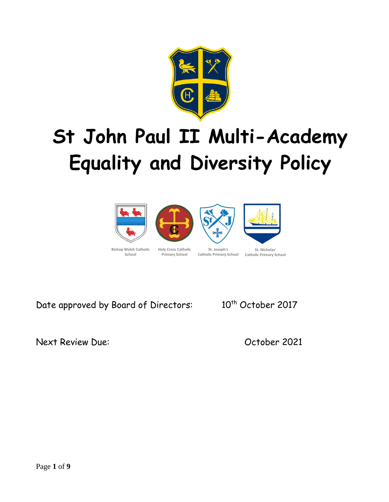

# **St John Paul II Multi-Academy Equality and Diversity Policy**





**Catholic Primary School Catholic Primary School**

Next Review Due: October 2021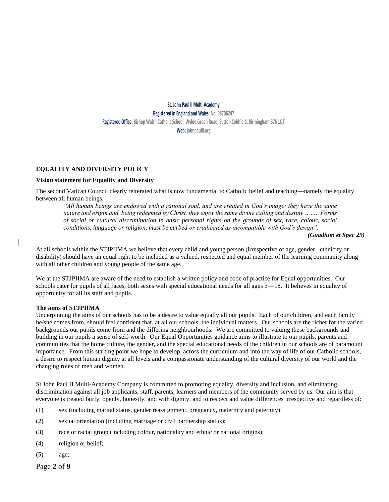#### **St. John Paul II Multi-Academy Registered in England and Wales: No. 08706247 Registered Office: Bishop Walsh Catholic School, Wylde Green Road, Sutton Coldfield, Birmingham B76 1QT Web: johnpaulii.org**

#### **EQUALITY AND DIVERSITY POLICY**

#### **Vision statement for Equality and Diversity**

The second Vatican Council clearly reiterated what is now fundamental to Catholic belief and teaching—namely the equality between all human beings.

*"All human beings are endowed with a rational soul, and are created in God's image: they have the same nature and origin and, being redeemed by Christ, they enjoy the same divine calling and destiny …….. Forms of social or cultural discrimination in basic personal rights on the grounds of sex, race, colour, social conditions, language or religion, must be curbed or eradicated as incompatible with God's design".*

#### *(Guadium et Spec 29)*

At all schools within the STJPIIMA we believe that every child and young person (irrespective of age, gender, ethnicity or disability) should have an equal right to be included as a valued, respected and equal member of the learning community along with all other children and young people of the same age.

We at the STJPIIMA are aware of the need to establish a written policy and code of practice for Equal opportunities. Our schools cater for pupils of all races, both sexes with special educational needs for all ages 3—18. It believes in equality of opportunity for all its staff and pupils.

#### **The aims of STJPIIMA**

Underpinning the aims of our schools has to be a desire to value equally all our pupils. Each of our children, and each family he/she comes from, should feel confident that, at all our schools, the individual matters. Our schools are the richer for the varied backgrounds our pupils come from and the differing neighbourhoods. We are committed to valuing these backgrounds and building in our pupils a sense of self-worth. Our Equal Opportunities guidance aims to illustrate to our pupils, parents and communities that the home culture, the gender, and the special educational needs of the children in our schools are of paramount importance. From this starting point we hope to develop, across the curriculum and into the way of life of our Catholic schools, a desire to respect human dignity at all levels and a compassionate understanding of the cultural diversity of our world and the changing roles of men and women.

St John Paul II Multi-Academy Company is committed to promoting equality, diversity and inclusion, and eliminating discrimination against all job applicants, staff, parents, learners and members of the community served by us. Our aim is that everyone is treated fairly, openly, honestly, and with dignity, and to respect and value differences irrespective and regardless of:

- (1) sex (including marital status, gender reassignment, pregnancy, maternity and paternity);
- (2) sexual orientation (including marriage or civil partnership status);
- (3) race or racial group (including colour, nationality and ethnic or national origins);
- (4) religion or belief;
- (5) age;

Page **2** of **9**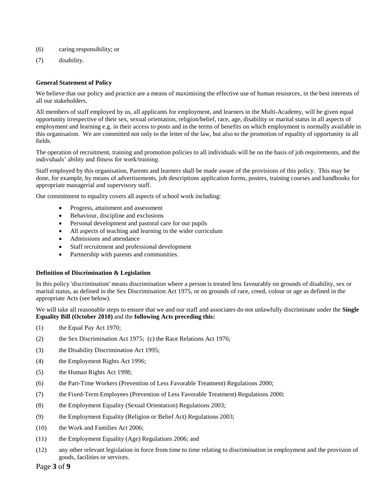- (6) caring responsibility; or
- (7) disability.

#### **General Statement of Policy**

We believe that our policy and practice are a means of maximising the effective use of human resources, in the best interests of all our stakeholders.

All members of staff employed by us, all applicants for employment, and learners in the Multi-Academy, will be given equal opportunity irrespective of their sex, sexual orientation, religion/belief, race, age, disability or marital status in all aspects of employment and learning e.g. in their access to posts and in the terms of benefits on which employment is normally available in this organisation. We are committed not only to the letter of the law, but also to the promotion of equality of opportunity in all fields.

The operation of recruitment, training and promotion policies to all individuals will be on the basis of job requirements, and the individuals' ability and fitness for work/training.

Staff employed by this organisation, Parents and learners shall be made aware of the provisions of this policy. This may be done, for example, by means of advertisements, job descriptions application forms, posters, training courses and handbooks for appropriate managerial and supervisory staff.

Our commitment to equality covers all aspects of school work including:

- Progress, attainment and assessment
- Behaviour, discipline and exclusions
- Personal development and pastoral care for our pupils
- All aspects of teaching and learning in the wider curriculum
- Admissions and attendance
- Staff recruitment and professional development
- Partnership with parents and communities.

#### **Definition of Discrimination & Legislation**

In this policy 'discrimination' means discrimination where a person is treated less favourably on grounds of disability, sex or marital status, as defined in the Sex Discrimination Act 1975, or on grounds of race, creed, colour or age as defined in the appropriate Acts (see below).

We will take all reasonable steps to ensure that we and our staff and associates do not unlawfully discriminate under the **Single Equality Bill (October 2010)** and the **following Acts preceding this:**

- (1) the Equal Pay Act 1970;
- (2) the Sex Discrimination Act 1975; (c) the Race Relations Act 1976;
- (3) the Disability Discrimination Act 1995;
- (4) the Employment Rights Act 1996;
- (5) the Human Rights Act 1998;
- (6) the Part-Time Workers (Prevention of Less Favorable Treatment) Regulations 2000;
- (7) the Fixed-Term Employees (Prevention of Less Favorable Treatment) Regulations 2000;
- (8) the Employment Equality (Sexual Orientation) Regulations 2003;
- (9) the Employment Equality (Religion or Belief Act) Regulations 2003;
- (10) the Work and Families Act 2006;
- (11) the Employment Equality (Age) Regulations 2006; and
- (12) any other relevant legislation in force from time to time relating to discrimination in employment and the provision of goods, facilities or services.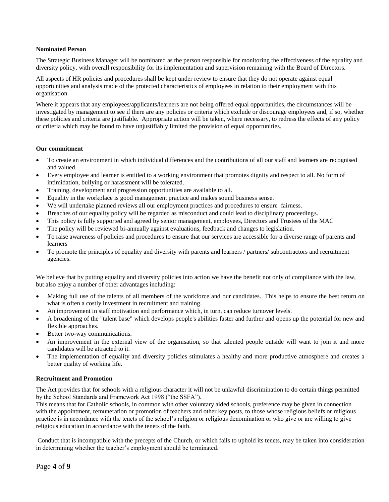#### **Nominated Person**

The Strategic Business Manager will be nominated as the person responsible for monitoring the effectiveness of the equality and diversity policy, with overall responsibility for its implementation and supervision remaining with the Board of Directors.

All aspects of HR policies and procedures shall be kept under review to ensure that they do not operate against equal opportunities and analysis made of the protected characteristics of employees in relation to their employment with this organisation.

Where it appears that any employees/applicants/learners are not being offered equal opportunities, the circumstances will be investigated by management to see if there are any policies or criteria which exclude or discourage employees and, if so, whether these policies and criteria are justifiable. Appropriate action will be taken, where necessary, to redress the effects of any policy or criteria which may be found to have unjustifiably limited the provision of equal opportunities.

#### **Our commitment**

- To create an environment in which individual differences and the contributions of all our staff and learners are recognised and valued.
- Every employee and learner is entitled to a working environment that promotes dignity and respect to all. No form of intimidation, bullying or harassment will be tolerated.
- Training, development and progression opportunities are available to all.
- Equality in the workplace is good management practice and makes sound business sense.
- We will undertake planned reviews all our employment practices and procedures to ensure fairness.
- Breaches of our equality policy will be regarded as misconduct and could lead to disciplinary proceedings.
- This policy is fully supported and agreed by senior management, employees, Directors and Trustees of the MAC
- The policy will be reviewed bi-annually against evaluations, feedback and changes to legislation.
- To raise awareness of policies and procedures to ensure that our services are accessible for a diverse range of parents and learners
- To promote the principles of equality and diversity with parents and learners / partners/ subcontractors and recruitment agencies.

We believe that by putting equality and diversity policies into action we have the benefit not only of compliance with the law, but also enjoy a number of other advantages including:

- Making full use of the talents of all members of the workforce and our candidates. This helps to ensure the best return on what is often a costly investment in recruitment and training.
- An improvement in staff motivation and performance which, in turn, can reduce turnover levels.
- A broadening of the "talent base" which develops people's abilities faster and further and opens up the potential for new and flexible approaches.
- Better two-way communications.
- An improvement in the external view of the organisation, so that talented people outside will want to join it and more candidates will be attracted to it.
- The implementation of equality and diversity policies stimulates a healthy and more productive atmosphere and creates a better quality of working life.

#### **Recruitment and Promotion**

The Act provides that for schools with a religious character it will not be unlawful discrimination to do certain things permitted by the School Standards and Framework Act 1998 ("the SSFA").

This means that for Catholic schools, in common with other voluntary aided schools, preference may be given in connection with the appointment, remuneration or promotion of teachers and other key posts, to those whose religious beliefs or religious practice is in accordance with the tenets of the school's religion or religious denomination or who give or are willing to give religious education in accordance with the tenets of the faith.

Conduct that is incompatible with the precepts of the Church, or which fails to uphold its tenets, may be taken into consideration in determining whether the teacher's employment should be terminated.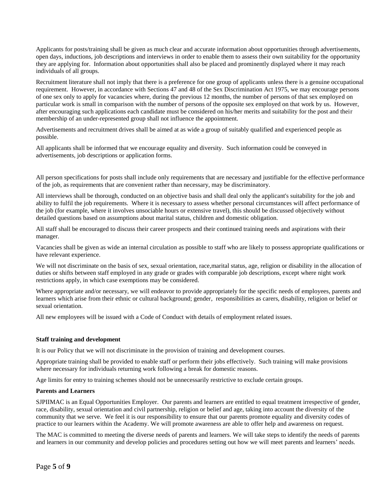Applicants for posts/training shall be given as much clear and accurate information about opportunities through advertisements, open days, inductions, job descriptions and interviews in order to enable them to assess their own suitability for the opportunity they are applying for. Information about opportunities shall also be placed and prominently displayed where it may reach individuals of all groups.

Recruitment literature shall not imply that there is a preference for one group of applicants unless there is a genuine occupational requirement. However, in accordance with Sections 47 and 48 of the Sex Discrimination Act 1975, we may encourage persons of one sex only to apply for vacancies where, during the previous 12 months, the number of persons of that sex employed on particular work is small in comparison with the number of persons of the opposite sex employed on that work by us. However, after encouraging such applications each candidate must be considered on his/her merits and suitability for the post and their membership of an under-represented group shall not influence the appointment.

Advertisements and recruitment drives shall be aimed at as wide a group of suitably qualified and experienced people as possible.

All applicants shall be informed that we encourage equality and diversity. Such information could be conveyed in advertisements, job descriptions or application forms.

All person specifications for posts shall include only requirements that are necessary and justifiable for the effective performance of the job, as requirements that are convenient rather than necessary, may be discriminatory.

All interviews shall be thorough, conducted on an objective basis and shall deal only the applicant's suitability for the job and ability to fulfil the job requirements. Where it is necessary to assess whether personal circumstances will affect performance of the job (for example, where it involves unsociable hours or extensive travel), this should be discussed objectively without detailed questions based on assumptions about marital status, children and domestic obligation.

All staff shall be encouraged to discuss their career prospects and their continued training needs and aspirations with their manager.

Vacancies shall be given as wide an internal circulation as possible to staff who are likely to possess appropriate qualifications or have relevant experience.

We will not discriminate on the basis of sex, sexual orientation, race,marital status, age, religion or disability in the allocation of duties or shifts between staff employed in any grade or grades with comparable job descriptions, except where night work restrictions apply, in which case exemptions may be considered.

Where appropriate and/or necessary, we will endeavor to provide appropriately for the specific needs of employees, parents and learners which arise from their ethnic or cultural background; gender, responsibilities as carers, disability, religion or belief or sexual orientation.

All new employees will be issued with a Code of Conduct with details of employment related issues.

#### **Staff training and development**

It is our Policy that we will not discriminate in the provision of training and development courses.

Appropriate training shall be provided to enable staff or perform their jobs effectively. Such training will make provisions where necessary for individuals returning work following a break for domestic reasons.

Age limits for entry to training schemes should not be unnecessarily restrictive to exclude certain groups.

#### **Parents and Learners**

SJPIIMAC is an Equal Opportunities Employer. Our parents and learners are entitled to equal treatment irrespective of gender, race, disability, sexual orientation and civil partnership, religion or belief and age, taking into account the diversity of the community that we serve. We feel it is our responsibility to ensure that our parents promote equality and diversity codes of practice to our learners within the Academy. We will promote awareness are able to offer help and awareness on request.

The MAC is committed to meeting the diverse needs of parents and learners. We will take steps to identify the needs of parents and learners in our community and develop policies and procedures setting out how we will meet parents and learners' needs.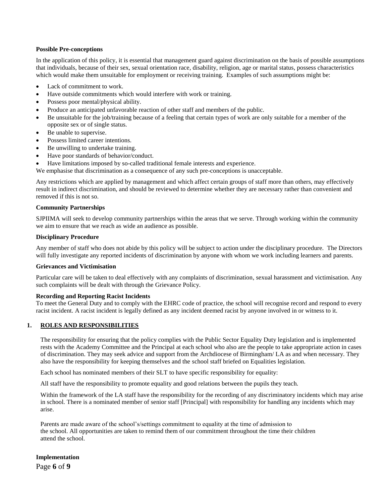#### **Possible Pre-conceptions**

In the application of this policy, it is essential that management guard against discrimination on the basis of possible assumptions that individuals, because of their sex, sexual orientation race, disability, religion, age or marital status, possess characteristics which would make them unsuitable for employment or receiving training. Examples of such assumptions might be:

- Lack of commitment to work.
- Have outside commitments which would interfere with work or training.
- Possess poor mental/physical ability.
- Produce an anticipated unfavorable reaction of other staff and members of the public.
- Be unsuitable for the job/training because of a feeling that certain types of work are only suitable for a member of the opposite sex or of single status.
- Be unable to supervise.
- Possess limited career intentions.
- Be unwilling to undertake training.
- Have poor standards of behavior/conduct.
- Have limitations imposed by so-called traditional female interests and experience.

We emphasise that discrimination as a consequence of any such pre-conceptions is unacceptable.

Any restrictions which are applied by management and which affect certain groups of staff more than others, may effectively result in indirect discrimination, and should be reviewed to determine whether they are necessary rather than convenient and removed if this is not so.

#### **Community Partnerships**

SJPIIMA will seek to develop community partnerships within the areas that we serve. Through working within the community we aim to ensure that we reach as wide an audience as possible.

#### **Disciplinary Procedure**

Any member of staff who does not abide by this policy will be subject to action under the disciplinary procedure. The Directors will fully investigate any reported incidents of discrimination by anyone with whom we work including learners and parents.

#### **Grievances and Victimisation**

Particular care will be taken to deal effectively with any complaints of discrimination, sexual harassment and victimisation. Any such complaints will be dealt with through the Grievance Policy.

#### **Recording and Reporting Racist Incidents**

To meet the General Duty and to comply with the EHRC code of practice, the school will recognise record and respond to every racist incident. A racist incident is legally defined as any incident deemed racist by anyone involved in or witness to it*.*

#### **1. ROLES AND RESPONSIBILITIES**

The responsibility for ensuring that the policy complies with the Public Sector Equality Duty legislation and is implemented rests with the Academy Committee and the Principal at each school who also are the people to take appropriate action in cases of discrimination. They may seek advice and support from the Archdiocese of Birmingham/ LA as and when necessary. They also have the responsibility for keeping themselves and the school staff briefed on Equalities legislation.

Each school has nominated members of their SLT to have specific responsibility for equality:

All staff have the responsibility to promote equality and good relations between the pupils they teach.

Within the framework of the LA staff have the responsibility for the recording of any discriminatory incidents which may arise in school. There is a nominated member of senior staff [Principal] with responsibility for handling any incidents which may arise.

Parents are made aware of the school's/settings commitment to equality at the time of admission to the school. All opportunities are taken to remind them of our commitment throughout the time their children attend the school.

Page **6** of **9 Implementation**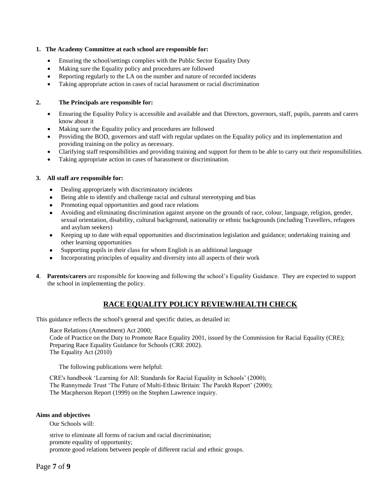#### **1. The Academy Committee at each school are responsible for:**

- Ensuring the school/settings complies with the Public Sector Equality Duty
- Making sure the Equality policy and procedures are followed
- Reporting regularly to the LA on the number and nature of recorded incidents
- Taking appropriate action in cases of racial harassment or racial discrimination

#### **2. The Principals are responsible for:**

- Ensuring the Equality Policy is accessible and available and that Directors, governors, staff, pupils, parents and carers know about it
- Making sure the Equality policy and procedures are followed
- Providing the BOD, governors and staff with regular updates on the Equality policy and its implementation and providing training on the policy as necessary.
- Clarifying staff responsibilities and providing training and support for them to be able to carry out their responsibilities.
- Taking appropriate action in cases of harassment or discrimination.

#### **3. All staff are responsible for:**

- Dealing appropriately with discriminatory incidents
- Being able to identify and challenge racial and cultural stereotyping and bias
- Promoting equal opportunities and good race relations
- Avoiding and eliminating discrimination against anyone on the grounds of race, colour, language, religion, gender, sexual orientation, disability, cultural background, nationality or ethnic backgrounds (including Travellers, refugees and asylum seekers)
- Keeping up to date with equal opportunities and discrimination legislation and guidance; undertaking training and other learning opportunities
- Supporting pupils in their class for whom English is an additional language
- Incorporating principles of equality and diversity into all aspects of their work
- **4**. **Parents/carers** are responsible for knowing and following the school's Equality Guidance. They are expected to support the school in implementing the policy.

### **RACE EQUALITY POLICY REVIEW/HEALTH CHECK**

This guidance reflects the school's general and specific duties, as detailed in:

Race Relations (Amendment) Act 2000;

Code of Practice on the Duty to Promote Race Equality 2001, issued by the Commission for Racial Equality (CRE); Preparing Race Equality Guidance for Schools (CRE 2002). The Equality Act (2010)

The following publications were helpful:

CRE's handbook 'Learning for All: Standards for Racial Equality in Schools' (2000); The Runnymede Trust 'The Future of Multi-Ethnic Britain: The Parekh Report' (2000); The Macpherson Report (1999) on the Stephen Lawrence inquiry.

#### **Aims and objectives**

Our Schools will:

strive to eliminate all forms of racism and racial discrimination; promote equality of opportunity; promote good relations between people of different racial and ethnic groups.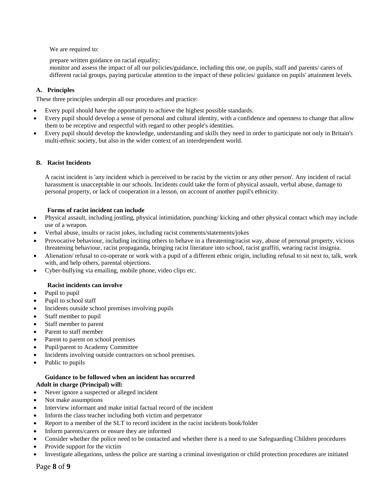We are required to:

prepare written guidance on racial equality;

monitor and assess the impact of all our policies/guidance, including this one, on pupils, staff and parents/ carers of different racial groups, paying particular attention to the impact of these policies/ guidance on pupils' attainment levels.

#### **A. Principles**

These three principles underpin all our procedures and practice:

- Every pupil should have the opportunity to achieve the highest possible standards.
- Every pupil should develop a sense of personal and cultural identity, with a confidence and openness to change that allow them to be receptive and respectful with regard to other people's identities.
- Every pupil should develop the knowledge, understanding and skills they need in order to participate not only in Britain's multi-ethnic society, but also in the wider context of an interdependent world.

#### **B. Racist Incidents**

A racist incident is 'any incident which is perceived to be racist by the victim or any other person'. Any incident of racial harassment is unacceptable in our schools. Incidents could take the form of physical assault, verbal abuse, damage to personal property, or lack of cooperation in a lesson, on account of another pupil's ethnicity.

#### **Forms of racist incident can include**

- Physical assault, including jostling, physical intimidation, punching/ kicking and other physical contact which may include use of a weapon.
- Verbal abuse, insults or racist jokes, including racist comments/statements/jokes
- Provocative behaviour, including inciting others to behave in a threatening/racist way, abuse of personal property, vicious threatening behaviour, racist propaganda, bringing racist literature into school, racist graffiti, wearing racist insignia.
- Alienation/ refusal to co-operate or work with a pupil of a different ethnic origin, including refusal to sit next to, talk, work with, and help others, parental objections.
- Cyber-bullying via emailing, mobile phone, video clips etc.

#### **Racist incidents can involve**

- Pupil to pupil
- Pupil to school staff
- Incidents outside school premises involving pupils
- Staff member to pupil
- Staff member to parent
- Parent to staff member
- Parent to parent on school premises
- Pupil/parent to Academy Committee
- Incidents involving outside contractors on school premises.
- Public to pupils

## **Guidance to be followed when an incident has occurred**

#### **Adult in charge (Principal) will:** • Never ignore a suspected or alleged incident

- Not make assumptions
- Interview informant and make initial factual record of the incident
- Inform the class teacher including both victim and perpetrator
- Report to a member of the SLT to record incident in the racist incidents book/folder
- Inform parents/carers or ensure they are informed
- Consider whether the police need to be contacted and whether there is a need to use Safeguarding Children procedures
- Provide support for the victim
- Investigate allegations, unless the police are starting a criminal investigation or child protection procedures are initiated